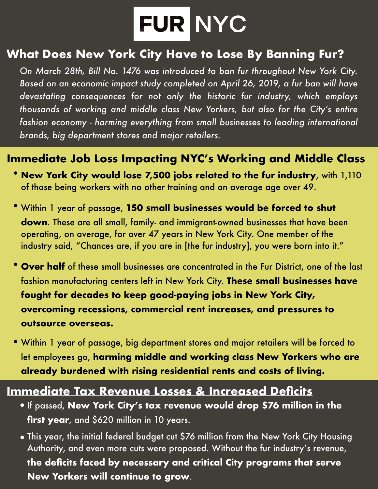# FUR NYC

#### **What Does New York City Have to Lose By Banning Fur?**

*On March 28th, Bill No. 1476 was introduced to ban fur throughout New York City. Based on an economic impact study completed on April 26, 2019, a fur ban will have devastating consequences for not only the historic fur industry, which employs thousands of working and middle class New Yorkers, but also for the City's entire fashion economy - harming everything from small businesses to leading international brands, big department stores and major retailers.* 

#### **Immediate Job Loss Impacting NYC's Working and Middle Class**

- **New York City would lose 7,500 jobs related to the fur industry**, with 1,110 of those being workers with no other training and an average age over 49.
- •Within 1 year of passage, **150 small businesses would be forced to shut down**. These are all small, family- and immigrant-owned businesses that have been operating, on average, for over 47 years in New York City. One member of the industry said, "Chances are, if you are in [the fur industry], you were born into it."
- **Over half** of these small businesses are concentrated in the Fur District, one of the last fashion manufacturing centers left in New York City. **These small businesses have fought for decades to keep good-paying jobs in New York City, overcoming recessions, commercial rent increases, and pressures to outsource overseas.**
- •Within 1 year of passage, big department stores and major retailers will be forced to let employees go, **harming middle and working class New Yorkers who are already burdened with rising residential rents and costs of living.**

#### **Immediate Tax Revenue Losses & Increased Deficits**

- **●** If passed, **New York City's tax revenue would drop \$76 million in the first year**, and \$620 million in 10 years.
- **●** This year, the initial federal budget cut \$76 million from the New York City Housing Authority, and even more cuts were proposed. Without the fur industry's revenue, **the deficits faced by necessary and critical City programs that serve New Yorkers will continue to grow**.